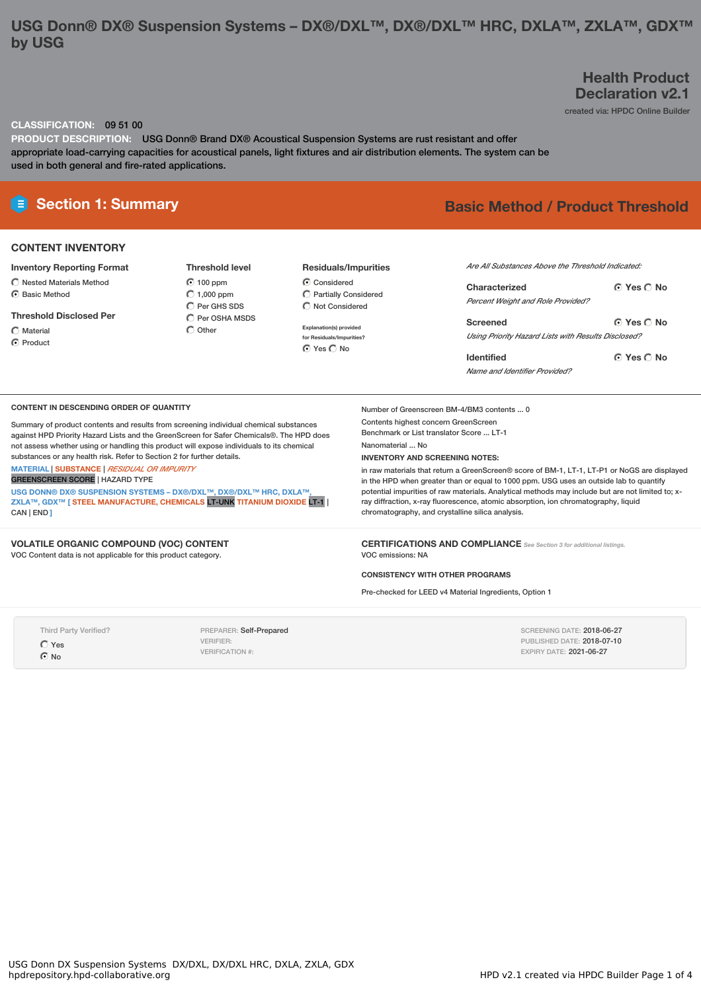### **USG Donn® DX® Suspension Systems – DX®/DXL™, DX®/DXL™ HRC, DXLA™, ZXLA™, GDX™ by USG**

### **Health Product Declaration v2.1**

created via: HPDC Online Builder

### **CLASSIFICATION:** 09 51 00

**PRODUCT DESCRIPTION:** USG Donn® Brand DX® Acoustical Suspension Systems are rust resistant and offer appropriate load-carrying capacities for acoustical panels, light fixtures and air distribution elements. The system can be used in both general and fire-rated applications.

### **CONTENT INVENTORY**

#### **Inventory Reporting Format**

- Nested Materials Method C Basic Method
- 

**Threshold Disclosed Per**

 $\bigcap$  Material

C Product

**Threshold level**  $6100$  ppm  $C$  1,000 ppm C Per GHS SDS C Per OSHA MSDS  $\bigcap$  Other

# **Residuals/Impurities**

Considered  $\overline{O}$  Partially Considered  $\bigcap$  Not Considered

**Explanation(s) provided for Residuals/Impurities?**  $Q$  Yes  $Q$  No

## **E** Section 1: Summary **Basic Method /** Product Threshold

| Are All Substances Above the Threshold Indicated:   |            |  |  |  |  |  |
|-----------------------------------------------------|------------|--|--|--|--|--|
| Characterized                                       | ∩ Yes ∩ No |  |  |  |  |  |
| <b>Percent Weight and Role Provided?</b>            |            |  |  |  |  |  |
| Screened                                            | ∩ Yes ∩ No |  |  |  |  |  |
| Using Priority Hazard Lists with Results Disclosed? |            |  |  |  |  |  |
| <b>Identified</b>                                   | ∩ Yes ∩ No |  |  |  |  |  |

SCREENING DATE: 2018-06-27 PUBLISHED DATE: 2018-07-10 EXPIRY DATE: 2021-06-27

*Name and Identifier Provided?*

#### **CONTENT IN DESCENDING ORDER OF QUANTITY**

Summary of product contents and results from screening individual chemical substances against HPD Priority Hazard Lists and the GreenScreen for Safer Chemicals®. The HPD does not assess whether using or handling this product will expose individuals to its chemical substances or any health risk. Refer to Section 2 for further details.

**MATERIAL** | **SUBSTANCE** | *RESIDUAL OR IMPURITY*

GREENSCREEN SCORE | HAZARD TYPE

**USG DONN® DX® SUSPENSION SYSTEMS – DX®/DXL™, DX®/DXL™ HRC, DXLA™, ZXLA™, GDX™ [ STEEL MANUFACTURE, CHEMICALS** LT-UNK **TITANIUM DIOXIDE** LT-1 | CAN | END **]**

### **VOLATILE ORGANIC COMPOUND (VOC) CONTENT**

VOC Content data is not applicable for this product category.

Number of Greenscreen BM-4/BM3 contents ... 0 Contents highest concern GreenScreen Benchmark or List translator Score ... LT-1

Nanomaterial ... No

#### **INVENTORY AND SCREENING NOTES:**

in raw materials that return a GreenScreen® score of BM-1, LT-1, LT-P1 or NoGS are displayed in the HPD when greater than or equal to 1000 ppm. USG uses an outside lab to quantify potential impurities of raw materials. Analytical methods may include but are not limited to; xray diffraction, x-ray fluorescence, atomic absorption, ion chromatography, liquid chromatography, and crystalline silica analysis.

**CERTIFICATIONS AND COMPLIANCE** *See Section <sup>3</sup> for additional listings.* VOC emissions: NA

#### **CONSISTENCY WITH OTHER PROGRAMS**

Pre-checked for LEED v4 Material Ingredients, Option 1

Third Party Verified?

Yes ⊙ No

PREPARER: Self-Prepared VERIFIER: VERIFICATION #: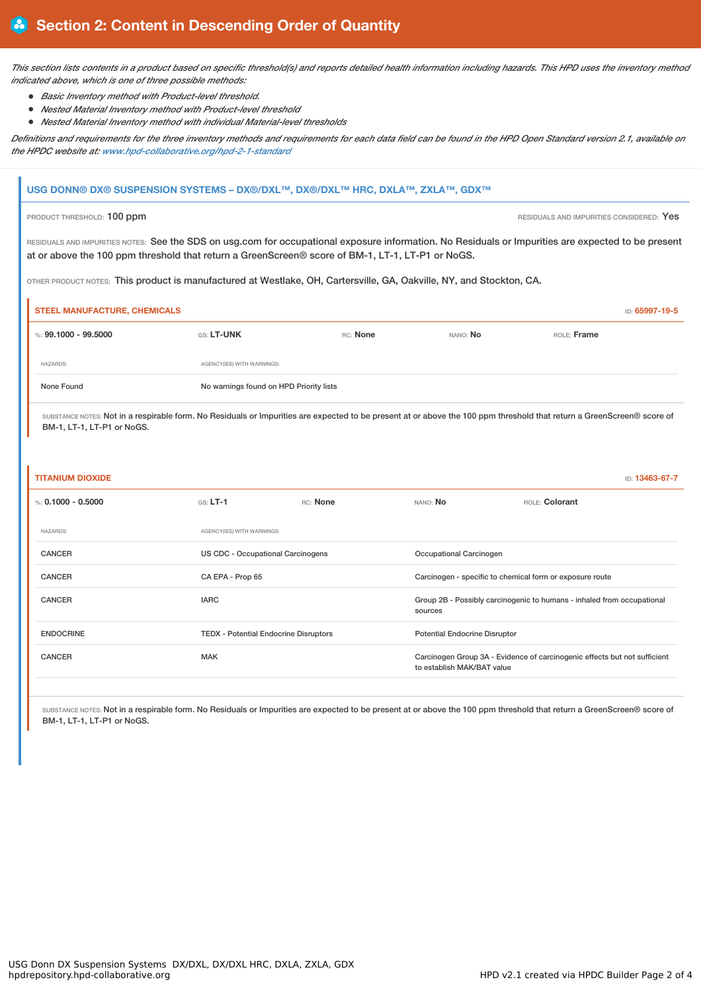This section lists contents in a product based on specific threshold(s) and reports detailed health information including hazards. This HPD uses the inventory method *indicated above, which is one of three possible methods:*

- *Basic Inventory method with Product-level threshold.*
- *Nested Material Inventory method with Product-level threshold*
- *Nested Material Inventory method with individual Material-level thresholds*

Definitions and requirements for the three inventory methods and requirements for each data field can be found in the HPD Open Standard version 2.1, available on *the HPDC website at: www.hpd-collaborative.org/hpd-2-1-standard*

# **USG DONN® DX® SUSPENSION SYSTEMS – DX®/DXL™, DX®/DXL™ HRC, DXLA™, ZXLA™, GDX™** PRODUCT THRESHOLD: 100 ppm **RESIDUALS AND IMPURITIES CONSIDERED:** Yes RESIDUALS AND IMPURITIES NOTES: See the SDS on usg.com for occupational exposure information. No Residuals or Impurities are expected to be present at or above the 100 ppm threshold that return a GreenScreen® score of BM-1, LT-1, LT-P1 or NoGS. OTHER PRODUCT NOTES: This product is manufactured at Westlake, OH, Cartersville, GA, Oakville, NY, and Stockton, CA. **STEEL MANUFACTURE, CHEMICALS** ID: **65997-19-5** %: **99.1000 - 99.5000** GS: **LT-UNK** RC: **None** NANO: **No** ROLE: **Frame** HAZARDS: AGENCY(IES) WITH WARNINGS: None Found No warnings found on HPD Priority lists SUBSTANCE NOTES: Not in a respirable form. No Residuals or Impurities are expected to be present at or above the 100 ppm threshold that return a GreenScreen® score of BM-1, LT-1, LT-P1 or NoGS.

| <b>TITANIUM DIOXIDE</b> |
|-------------------------|
|-------------------------|

| <b>TITANIUM DIOXIDE</b> |                                              |          |                                                                                                         |                | ID: 13463-67-7 |
|-------------------------|----------------------------------------------|----------|---------------------------------------------------------------------------------------------------------|----------------|----------------|
| %: $0.1000 - 0.5000$    | $GS: LT-1$                                   | RC: None | NANO: No                                                                                                | ROLE: Colorant |                |
| <b>HAZARDS:</b>         | AGENCY(IES) WITH WARNINGS:                   |          |                                                                                                         |                |                |
| <b>CANCER</b>           | US CDC - Occupational Carcinogens            |          | Occupational Carcinogen                                                                                 |                |                |
| <b>CANCER</b>           | CA EPA - Prop 65                             |          | Carcinogen - specific to chemical form or exposure route                                                |                |                |
| <b>CANCER</b>           | <b>IARC</b>                                  |          | Group 2B - Possibly carcinogenic to humans - inhaled from occupational<br>sources                       |                |                |
| <b>ENDOCRINE</b>        | <b>TEDX - Potential Endocrine Disruptors</b> |          | <b>Potential Endocrine Disruptor</b>                                                                    |                |                |
| <b>CANCER</b>           | <b>MAK</b>                                   |          | Carcinogen Group 3A - Evidence of carcinogenic effects but not sufficient<br>to establish MAK/BAT value |                |                |
|                         |                                              |          |                                                                                                         |                |                |

SUBSTANCE NOTES: Not in a respirable form. No Residuals or Impurities are expected to be present at or above the 100 ppm threshold that return a GreenScreen® score of BM-1, LT-1, LT-P1 or NoGS.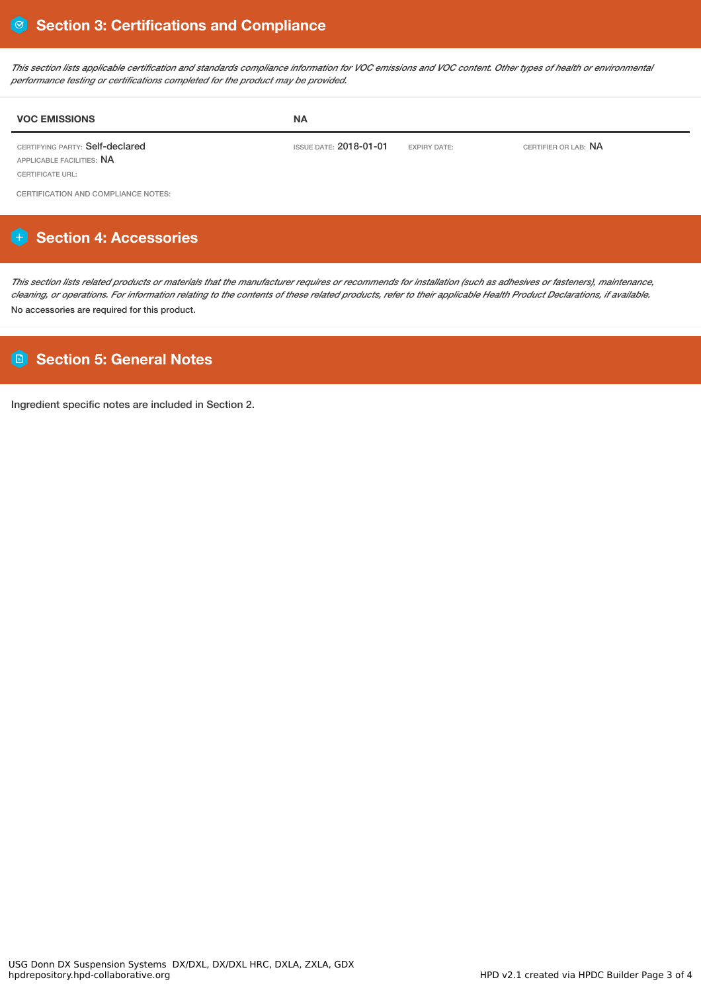This section lists applicable certification and standards compliance information for VOC emissions and VOC content. Other types of health or environmental *performance testing or certifications completed for the product may be provided.*

| <b>VOC EMISSIONS</b>                                                | <b>NA</b>                     |                     |                             |
|---------------------------------------------------------------------|-------------------------------|---------------------|-----------------------------|
| CERTIFYING PARTY: Self-declared<br>APPLICABLE FACILITIES: <b>NA</b> | ISSUE DATE: <b>2018-01-01</b> | <b>EXPIRY DATE:</b> | CERTIFIER OR LAB: <b>NA</b> |

CERTIFICATE URL:

CERTIFICATION AND COMPLIANCE NOTES:

# **Section 4: Accessories**

This section lists related products or materials that the manufacturer requires or recommends for installation (such as adhesives or fasteners), maintenance, cleaning, or operations. For information relating to the contents of these related products, refer to their applicable Health Product Declarations, if available. No accessories are required for this product.

### **Section 5: General Notes**

Ingredient specific notes are included in Section 2.